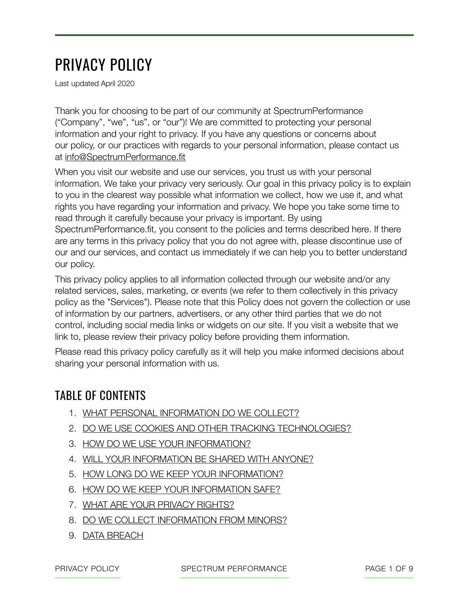# PRIVACY POLICY

Last updated April 2020

Thank you for choosing to be part of our community at SpectrumPerformance ("Company", "we", "us", or "our")! We are committed to protecting your personal information and your right to privacy. If you have any questions or concerns about our policy, or our practices with regards to your personal information, please contact us at [info@SpectrumPerformance.fit](mailto:info@SpectrumPerformance.fit)

When you visit our website and use our services, you trust us with your personal information. We take your privacy very seriously. Our goal in this privacy policy is to explain to you in the clearest way possible what information we collect, how we use it, and what rights you have regarding your information and privacy. We hope you take some time to read through it carefully because your privacy is important. By using SpectrumPerformance.fit, you consent to the policies and terms described here. If there are any terms in this privacy policy that you do not agree with, please discontinue use of our and our services, and contact us immediately if we can help you to better understand our policy.

This privacy policy applies to all information collected through our website and/or any related services, sales, marketing, or events (we refer to them collectively in this privacy policy as the "Services"). Please note that this Policy does not govern the collection or use of information by our partners, advertisers, or any other third parties that we do not control, including social media links or widgets on our site. If you visit a website that we link to, please review their privacy policy before providing them information.

Please read this privacy policy carefully as it will help you make informed decisions about sharing your personal information with us.

### TABLE OF CONTENTS

- 1. WHAT PERSONAL INFORMATION DO WE COLLECT?
- 2. DO WE USE COOKIES AND OTHER TRACKING TECHNOLOGIES?
- 3. HOW DO WE USE YOUR INFORMATION?
- 4. WILL YOUR INFORMATION BE SHARED WITH ANYONE?
- 5. HOW LONG DO WE KEEP YOUR INFORMATION?
- 6. HOW DO WE KEEP YOUR INFORMATION SAFE?
- 7. WHAT ARE YOUR PRIVACY RIGHTS?
- 8. DO WE COLLECT INFORMATION FROM MINORS?
- 9. DATA BREACH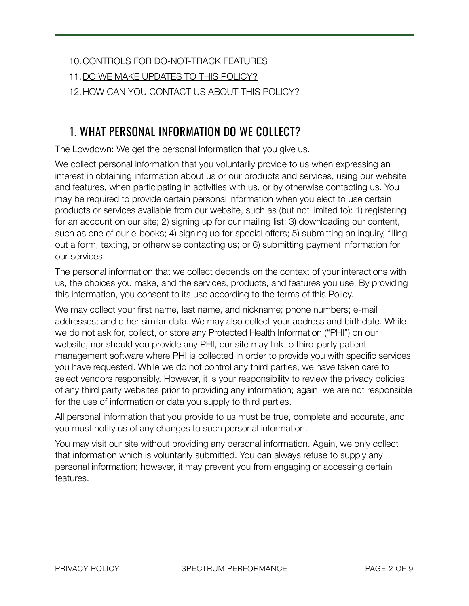#### 10.CONTROLS FOR DO-NOT-TRACK FEATURES

- 11.DO WE MAKE UPDATES TO THIS POLICY?
- 12.HOW CAN YOU CONTACT US ABOUT THIS POLICY?

#### 1. WHAT PERSONAL INFORMATION DO WE COLLECT?

The Lowdown: We get the personal information that you give us.

We collect personal information that you voluntarily provide to us when expressing an interest in obtaining information about us or our products and services, using our website and features, when participating in activities with us, or by otherwise contacting us. You may be required to provide certain personal information when you elect to use certain products or services available from our website, such as (but not limited to): 1) registering for an account on our site; 2) signing up for our mailing list; 3) downloading our content, such as one of our e-books; 4) signing up for special offers; 5) submitting an inquiry, filling out a form, texting, or otherwise contacting us; or 6) submitting payment information for our services.

The personal information that we collect depends on the context of your interactions with us, the choices you make, and the services, products, and features you use. By providing this information, you consent to its use according to the terms of this Policy.

We may collect your first name, last name, and nickname; phone numbers; e-mail addresses; and other similar data. We may also collect your address and birthdate. While we do not ask for, collect, or store any Protected Health Information ("PHI") on our website, nor should you provide any PHI, our site may link to third-party patient management software where PHI is collected in order to provide you with specific services you have requested. While we do not control any third parties, we have taken care to select vendors responsibly. However, it is your responsibility to review the privacy policies of any third party websites prior to providing any information; again, we are not responsible for the use of information or data you supply to third parties.

All personal information that you provide to us must be true, complete and accurate, and you must notify us of any changes to such personal information.

You may visit our site without providing any personal information. Again, we only collect that information which is voluntarily submitted. You can always refuse to supply any personal information; however, it may prevent you from engaging or accessing certain features.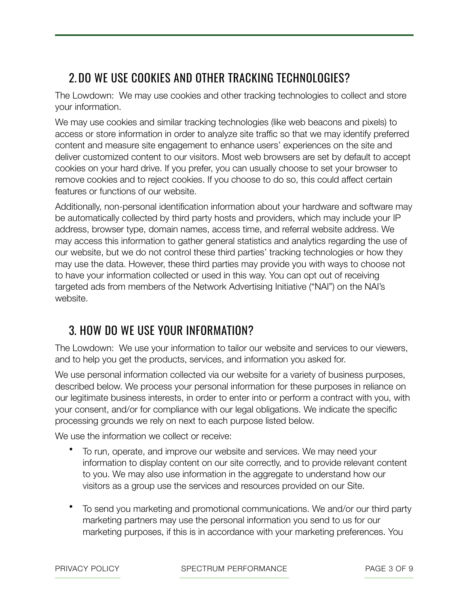### 2. DO WE USE COOKIES AND OTHER TRACKING TECHNOLOGIES?

The Lowdown: We may use cookies and other tracking technologies to collect and store your information.

We may use cookies and similar tracking technologies (like web beacons and pixels) to access or store information in order to analyze site traffic so that we may identify preferred content and measure site engagement to enhance users' experiences on the site and deliver customized content to our visitors. Most web browsers are set by default to accept cookies on your hard drive. If you prefer, you can usually choose to set your browser to remove cookies and to reject cookies. If you choose to do so, this could affect certain features or functions of our website.

Additionally, non-personal identification information about your hardware and software may be automatically collected by third party hosts and providers, which may include your IP address, browser type, domain names, access time, and referral website address. We may access this information to gather general statistics and analytics regarding the use of our website, but we do not control these third parties' tracking technologies or how they may use the data. However, these third parties may provide you with ways to choose not to have your information collected or used in this way. You can opt out of receiving targeted ads from members of the Network Advertising Initiative ("NAI") on the NAI's website.

### 3. HOW DO WE USE YOUR INFORMATION?

The Lowdown: We use your information to tailor our website and services to our viewers, and to help you get the products, services, and information you asked for.

We use personal information collected via our website for a variety of business purposes, described below. We process your personal information for these purposes in reliance on our legitimate business interests, in order to enter into or perform a contract with you, with your consent, and/or for compliance with our legal obligations. We indicate the specific processing grounds we rely on next to each purpose listed below.

We use the information we collect or receive:

- To run, operate, and improve our website and services. We may need your information to display content on our site correctly, and to provide relevant content to you. We may also use information in the aggregate to understand how our visitors as a group use the services and resources provided on our Site.
- To send you marketing and promotional communications. We and/or our third party marketing partners may use the personal information you send to us for our marketing purposes, if this is in accordance with your marketing preferences. You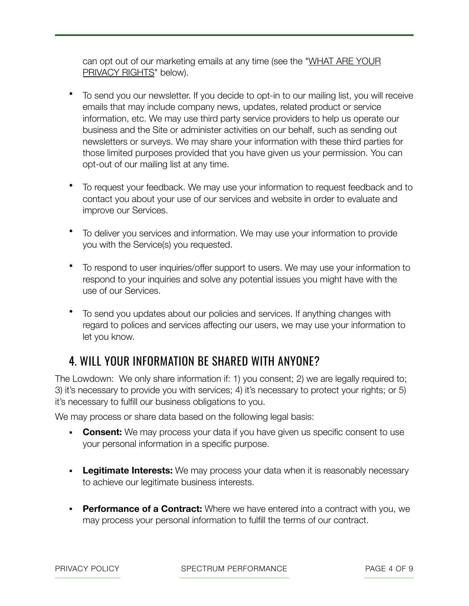can opt out of our marketing emails at any time (see the "[WHAT ARE YOUR](https://app.termly.io/dashboard/website/393426/privacy-policy#privacyrights)  [PRIVACY RIGHTS"](https://app.termly.io/dashboard/website/393426/privacy-policy#privacyrights) below).

- To send you our newsletter. If you decide to opt-in to our mailing list, you will receive emails that may include company news, updates, related product or service information, etc. We may use third party service providers to help us operate our business and the Site or administer activities on our behalf, such as sending out newsletters or surveys. We may share your information with these third parties for those limited purposes provided that you have given us your permission. You can opt-out of our mailing list at any time.
- To request your feedback. We may use your information to request feedback and to contact you about your use of our services and website in order to evaluate and improve our Services.
- To deliver you services and information. We may use your information to provide you with the Service(s) you requested.
- To respond to user inquiries/offer support to users. We may use your information to respond to your inquiries and solve any potential issues you might have with the use of our Services.
- To send you updates about our policies and services. If anything changes with regard to polices and services affecting our users, we may use your information to let you know.

### 4. WILL YOUR INFORMATION BE SHARED WITH ANYONE?

The Lowdown: We only share information if: 1) you consent; 2) we are legally required to; 3) it's necessary to provide you with services; 4) it's necessary to protect your rights; or 5) it's necessary to fulfill our business obligations to you.

We may process or share data based on the following legal basis:

- **Consent:** We may process your data if you have given us specific consent to use your personal information in a specific purpose.
- **Legitimate Interests:** We may process your data when it is reasonably necessary to achieve our legitimate business interests.
- **Performance of a Contract:** Where we have entered into a contract with you, we may process your personal information to fulfill the terms of our contract.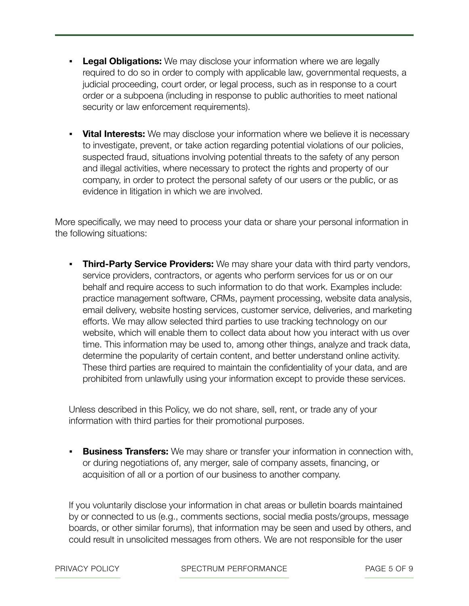- **Legal Obligations:** We may disclose your information where we are legally required to do so in order to comply with applicable law, governmental requests, a judicial proceeding, court order, or legal process, such as in response to a court order or a subpoena (including in response to public authorities to meet national security or law enforcement requirements).
- **Vital Interests:** We may disclose your information where we believe it is necessary to investigate, prevent, or take action regarding potential violations of our policies, suspected fraud, situations involving potential threats to the safety of any person and illegal activities, where necessary to protect the rights and property of our company, in order to protect the personal safety of our users or the public, or as evidence in litigation in which we are involved.

More specifically, we may need to process your data or share your personal information in the following situations:

▪ **Third-Party Service Providers:** We may share your data with third party vendors, service providers, contractors, or agents who perform services for us or on our behalf and require access to such information to do that work. Examples include: practice management software, CRMs, payment processing, website data analysis, email delivery, website hosting services, customer service, deliveries, and marketing efforts. We may allow selected third parties to use tracking technology on our website, which will enable them to collect data about how you interact with us over time. This information may be used to, among other things, analyze and track data, determine the popularity of certain content, and better understand online activity. These third parties are required to maintain the confidentiality of your data, and are prohibited from unlawfully using your information except to provide these services.

Unless described in this Policy, we do not share, sell, rent, or trade any of your information with third parties for their promotional purposes.

**• Business Transfers:** We may share or transfer your information in connection with, or during negotiations of, any merger, sale of company assets, financing, or acquisition of all or a portion of our business to another company.

If you voluntarily disclose your information in chat areas or bulletin boards maintained by or connected to us (e.g., comments sections, social media posts/groups, message boards, or other similar forums), that information may be seen and used by others, and could result in unsolicited messages from others. We are not responsible for the user

PRIVACY POLICY SPECTRUM PERFORMANCE PAGE 5 OF 9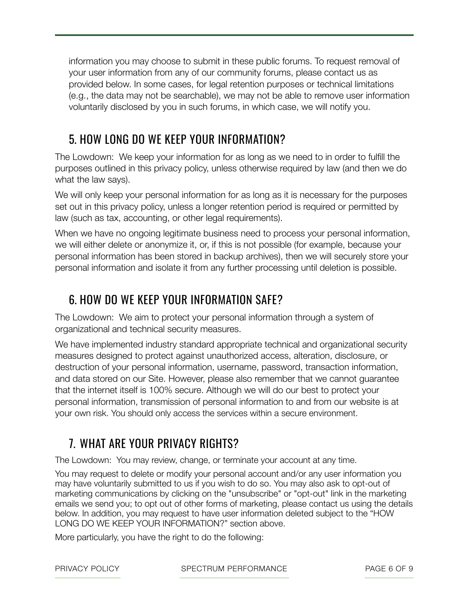information you may choose to submit in these public forums. To request removal of your user information from any of our community forums, please contact us as provided below. In some cases, for legal retention purposes or technical limitations (e.g., the data may not be searchable), we may not be able to remove user information voluntarily disclosed by you in such forums, in which case, we will notify you.

### 5. HOW LONG DO WE KEEP YOUR INFORMATION?

The Lowdown: We keep your information for as long as we need to in order to fulfill the purposes outlined in this privacy policy, unless otherwise required by law (and then we do what the law says).

We will only keep your personal information for as long as it is necessary for the purposes set out in this privacy policy, unless a longer retention period is required or permitted by law (such as tax, accounting, or other legal requirements).

When we have no ongoing legitimate business need to process your personal information, we will either delete or anonymize it, or, if this is not possible (for example, because your personal information has been stored in backup archives), then we will securely store your personal information and isolate it from any further processing until deletion is possible.

#### 6. HOW DO WE KEEP YOUR INFORMATION SAFE?

The Lowdown: We aim to protect your personal information through a system of organizational and technical security measures.

We have implemented industry standard appropriate technical and organizational security measures designed to protect against unauthorized access, alteration, disclosure, or destruction of your personal information, username, password, transaction information, and data stored on our Site. However, please also remember that we cannot guarantee that the internet itself is 100% secure. Although we will do our best to protect your personal information, transmission of personal information to and from our website is at your own risk. You should only access the services within a secure environment.

### 7. WHAT ARE YOUR PRIVACY RIGHTS?

The Lowdown: You may review, change, or terminate your account at any time.

You may request to delete or modify your personal account and/or any user information you may have voluntarily submitted to us if you wish to do so. You may also ask to opt-out of marketing communications by clicking on the "unsubscribe" or "opt-out" link in the marketing emails we send you; to opt out of other forms of marketing, please contact us using the details below. In addition, you may request to have user information deleted subject to the "HOW LONG DO WE KEEP YOUR INFORMATION?" section above.

More particularly, you have the right to do the following:

PRIVACY POLICY **SPECTRUM PERFORMANCE** PAGE 6 OF 9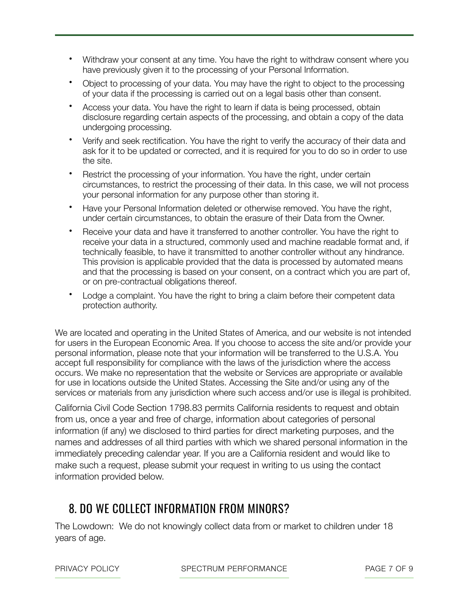- Withdraw your consent at any time. You have the right to withdraw consent where you have previously given it to the processing of your Personal Information.
- Object to processing of your data. You may have the right to object to the processing of your data if the processing is carried out on a legal basis other than consent.
- Access your data. You have the right to learn if data is being processed, obtain disclosure regarding certain aspects of the processing, and obtain a copy of the data undergoing processing.
- Verify and seek rectification. You have the right to verify the accuracy of their data and ask for it to be updated or corrected, and it is required for you to do so in order to use the site.
- Restrict the processing of your information. You have the right, under certain circumstances, to restrict the processing of their data. In this case, we will not process your personal information for any purpose other than storing it.
- Have your Personal Information deleted or otherwise removed. You have the right, under certain circumstances, to obtain the erasure of their Data from the Owner.
- Receive your data and have it transferred to another controller. You have the right to receive your data in a structured, commonly used and machine readable format and, if technically feasible, to have it transmitted to another controller without any hindrance. This provision is applicable provided that the data is processed by automated means and that the processing is based on your consent, on a contract which you are part of, or on pre-contractual obligations thereof.
- Lodge a complaint. You have the right to bring a claim before their competent data protection authority.

We are located and operating in the United States of America, and our website is not intended for users in the European Economic Area. If you choose to access the site and/or provide your personal information, please note that your information will be transferred to the U.S.A. You accept full responsibility for compliance with the laws of the jurisdiction where the access occurs. We make no representation that the website or Services are appropriate or available for use in locations outside the United States. Accessing the Site and/or using any of the services or materials from any jurisdiction where such access and/or use is illegal is prohibited.

California Civil Code Section 1798.83 permits California residents to request and obtain from us, once a year and free of charge, information about categories of personal information (if any) we disclosed to third parties for direct marketing purposes, and the names and addresses of all third parties with which we shared personal information in the immediately preceding calendar year. If you are a California resident and would like to make such a request, please submit your request in writing to us using the contact information provided below.

#### 8. DO WE COLLECT INFORMATION FROM MINORS?

The Lowdown: We do not knowingly collect data from or market to children under 18 years of age.

PRIVACY POLICY **SPECTRUM PERFORMANCE** PAGE 7 OF 9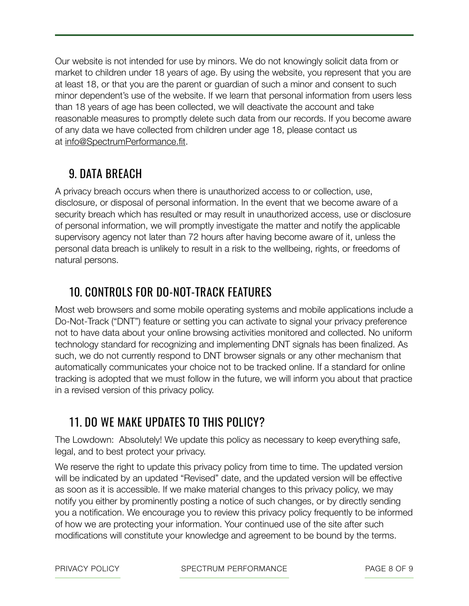Our website is not intended for use by minors. We do not knowingly solicit data from or market to children under 18 years of age. By using the website, you represent that you are at least 18, or that you are the parent or guardian of such a minor and consent to such minor dependent's use of the website. If we learn that personal information from users less than 18 years of age has been collected, we will deactivate the account and take reasonable measures to promptly delete such data from our records. If you become aware of any data we have collected from children under age 18, please contact us at [info@SpectrumPerformance.fit](mailto:info@SpectrumPerformance.fit).

## 9. DATA BREACH

A privacy breach occurs when there is unauthorized access to or collection, use, disclosure, or disposal of personal information. In the event that we become aware of a security breach which has resulted or may result in unauthorized access, use or disclosure of personal information, we will promptly investigate the matter and notify the applicable supervisory agency not later than 72 hours after having become aware of it, unless the personal data breach is unlikely to result in a risk to the wellbeing, rights, or freedoms of natural persons.

### 10. CONTROLS FOR DO-NOT-TRACK FEATURES

Most web browsers and some mobile operating systems and mobile applications include a Do-Not-Track ("DNT") feature or setting you can activate to signal your privacy preference not to have data about your online browsing activities monitored and collected. No uniform technology standard for recognizing and implementing DNT signals has been finalized. As such, we do not currently respond to DNT browser signals or any other mechanism that automatically communicates your choice not to be tracked online. If a standard for online tracking is adopted that we must follow in the future, we will inform you about that practice in a revised version of this privacy policy.

### 11. DO WE MAKE UPDATES TO THIS POLICY?

The Lowdown: Absolutely! We update this policy as necessary to keep everything safe, legal, and to best protect your privacy.

We reserve the right to update this privacy policy from time to time. The updated version will be indicated by an updated "Revised" date, and the updated version will be effective as soon as it is accessible. If we make material changes to this privacy policy, we may notify you either by prominently posting a notice of such changes, or by directly sending you a notification. We encourage you to review this privacy policy frequently to be informed of how we are protecting your information. Your continued use of the site after such modifications will constitute your knowledge and agreement to be bound by the terms.

PRIVACY POLICY SPECTRUM PERFORMANCE PAGE 8 OF 9